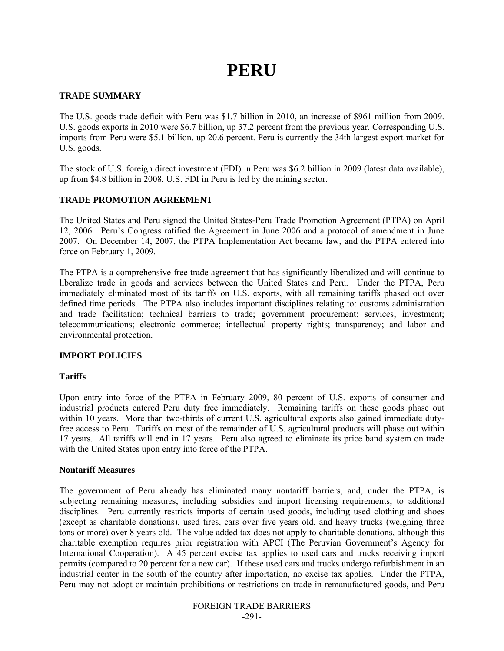# **PERU**

# **TRADE SUMMARY**

The U.S. goods trade deficit with Peru was \$1.7 billion in 2010, an increase of \$961 million from 2009. U.S. goods exports in 2010 were \$6.7 billion, up 37.2 percent from the previous year. Corresponding U.S. imports from Peru were \$5.1 billion, up 20.6 percent. Peru is currently the 34th largest export market for U.S. goods.

The stock of U.S. foreign direct investment (FDI) in Peru was \$6.2 billion in 2009 (latest data available), up from \$4.8 billion in 2008. U.S. FDI in Peru is led by the mining sector.

## **TRADE PROMOTION AGREEMENT**

The United States and Peru signed the United States-Peru Trade Promotion Agreement (PTPA) on April 12, 2006. Peru's Congress ratified the Agreement in June 2006 and a protocol of amendment in June 2007. On December 14, 2007, the PTPA Implementation Act became law, and the PTPA entered into force on February 1, 2009.

The PTPA is a comprehensive free trade agreement that has significantly liberalized and will continue to liberalize trade in goods and services between the United States and Peru. Under the PTPA, Peru immediately eliminated most of its tariffs on U.S. exports, with all remaining tariffs phased out over defined time periods. The PTPA also includes important disciplines relating to: customs administration and trade facilitation; technical barriers to trade; government procurement; services; investment; telecommunications; electronic commerce; intellectual property rights; transparency; and labor and environmental protection.

## **IMPORT POLICIES**

## **Tariffs**

Upon entry into force of the PTPA in February 2009, 80 percent of U.S. exports of consumer and industrial products entered Peru duty free immediately. Remaining tariffs on these goods phase out within 10 years. More than two-thirds of current U.S. agricultural exports also gained immediate dutyfree access to Peru. Tariffs on most of the remainder of U.S. agricultural products will phase out within 17 years. All tariffs will end in 17 years. Peru also agreed to eliminate its price band system on trade with the United States upon entry into force of the PTPA.

## **Nontariff Measures**

The government of Peru already has eliminated many nontariff barriers, and, under the PTPA, is subjecting remaining measures, including subsidies and import licensing requirements, to additional disciplines. Peru currently restricts imports of certain used goods, including used clothing and shoes (except as charitable donations), used tires, cars over five years old, and heavy trucks (weighing three tons or more) over 8 years old. The value added tax does not apply to charitable donations, although this charitable exemption requires prior registration with APCI (The Peruvian Government's Agency for International Cooperation). A 45 percent excise tax applies to used cars and trucks receiving import permits (compared to 20 percent for a new car). If these used cars and trucks undergo refurbishment in an industrial center in the south of the country after importation, no excise tax applies. Under the PTPA, Peru may not adopt or maintain prohibitions or restrictions on trade in remanufactured goods, and Peru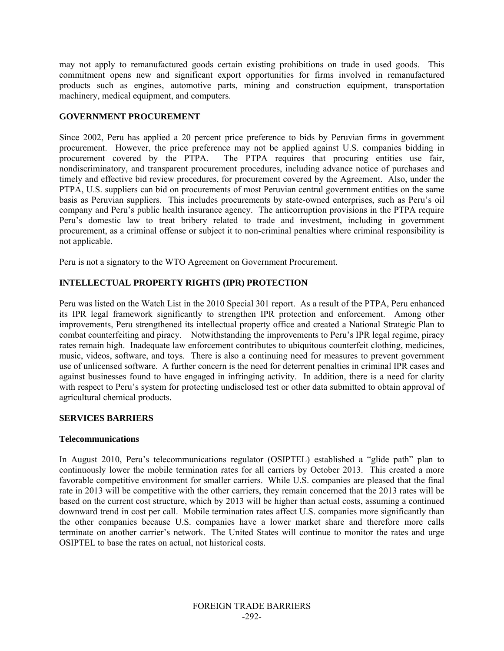may not apply to remanufactured goods certain existing prohibitions on trade in used goods. This commitment opens new and significant export opportunities for firms involved in remanufactured products such as engines, automotive parts, mining and construction equipment, transportation machinery, medical equipment, and computers.

## **GOVERNMENT PROCUREMENT**

Since 2002, Peru has applied a 20 percent price preference to bids by Peruvian firms in government procurement. However, the price preference may not be applied against U.S. companies bidding in procurement covered by the PTPA. The PTPA requires that procuring entities use fair, nondiscriminatory, and transparent procurement procedures, including advance notice of purchases and timely and effective bid review procedures, for procurement covered by the Agreement. Also, under the PTPA, U.S. suppliers can bid on procurements of most Peruvian central government entities on the same basis as Peruvian suppliers. This includes procurements by state-owned enterprises, such as Peru's oil company and Peru's public health insurance agency. The anticorruption provisions in the PTPA require Peru's domestic law to treat bribery related to trade and investment, including in government procurement, as a criminal offense or subject it to non-criminal penalties where criminal responsibility is not applicable.

Peru is not a signatory to the WTO Agreement on Government Procurement.

# **INTELLECTUAL PROPERTY RIGHTS (IPR) PROTECTION**

Peru was listed on the Watch List in the 2010 Special 301 report. As a result of the PTPA, Peru enhanced its IPR legal framework significantly to strengthen IPR protection and enforcement. Among other improvements, Peru strengthened its intellectual property office and created a National Strategic Plan to combat counterfeiting and piracy. Notwithstanding the improvements to Peru's IPR legal regime, piracy rates remain high. Inadequate law enforcement contributes to ubiquitous counterfeit clothing, medicines, music, videos, software, and toys. There is also a continuing need for measures to prevent government use of unlicensed software. A further concern is the need for deterrent penalties in criminal IPR cases and against businesses found to have engaged in infringing activity. In addition, there is a need for clarity with respect to Peru's system for protecting undisclosed test or other data submitted to obtain approval of agricultural chemical products.

## **SERVICES BARRIERS**

#### **Telecommunications**

In August 2010, Peru's telecommunications regulator (OSIPTEL) established a "glide path" plan to continuously lower the mobile termination rates for all carriers by October 2013. This created a more favorable competitive environment for smaller carriers. While U.S. companies are pleased that the final rate in 2013 will be competitive with the other carriers, they remain concerned that the 2013 rates will be based on the current cost structure, which by 2013 will be higher than actual costs, assuming a continued downward trend in cost per call. Mobile termination rates affect U.S. companies more significantly than the other companies because U.S. companies have a lower market share and therefore more calls terminate on another carrier's network. The United States will continue to monitor the rates and urge OSIPTEL to base the rates on actual, not historical costs.